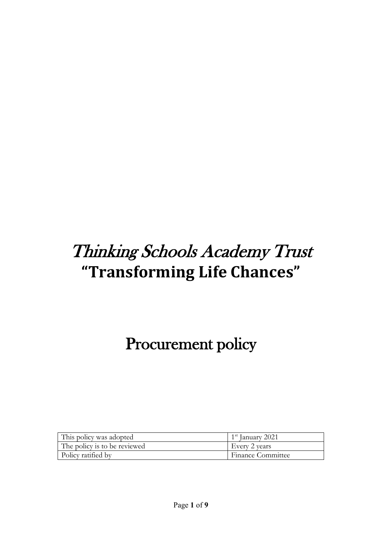# Thinking Schools Academy Trust **"Transforming Life Chances"**

## Procurement policy

| This policy was adopted      | $1st$ January 2021       |
|------------------------------|--------------------------|
| The policy is to be reviewed | Every 2 years            |
| Policy ratified by           | <b>Finance Committee</b> |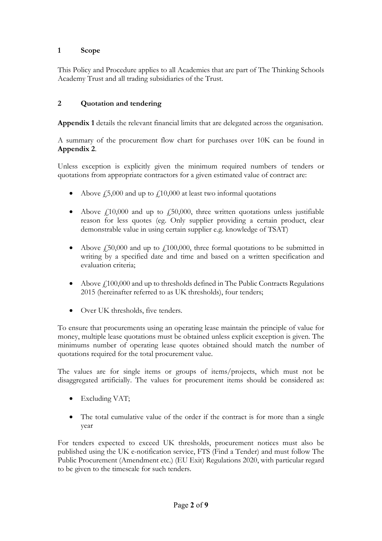#### **1 Scope**

This Policy and Procedure applies to all Academies that are part of The Thinking Schools Academy Trust and all trading subsidiaries of the Trust.

#### **2 Quotation and tendering**

**Appendix 1** details the relevant financial limits that are delegated across the organisation.

A summary of the procurement flow chart for purchases over 10K can be found in **Appendix 2**.

Unless exception is explicitly given the minimum required numbers of tenders or quotations from appropriate contractors for a given estimated value of contract are:

- Above  $\dot{\ell}$  5,000 and up to  $\dot{\ell}$  10,000 at least two informal quotations
- Above  $£10,000$  and up to  $£50,000$ , three written quotations unless justifiable reason for less quotes (eg. Only supplier providing a certain product, clear demonstrable value in using certain supplier e.g. knowledge of TSAT)
- Above  $\frac{1}{2}50,000$  and up to  $\frac{1}{2}100,000$ , three formal quotations to be submitted in writing by a specified date and time and based on a written specification and evaluation criteria;
- Above  $f<sub>1</sub>100,000$  and up to thresholds defined in The Public Contracts Regulations 2015 (hereinafter referred to as UK thresholds), four tenders;
- Over UK thresholds, five tenders.

To ensure that procurements using an operating lease maintain the principle of value for money, multiple lease quotations must be obtained unless explicit exception is given. The minimums number of operating lease quotes obtained should match the number of quotations required for the total procurement value.

The values are for single items or groups of items/projects, which must not be disaggregated artificially. The values for procurement items should be considered as:

- Excluding VAT;
- The total cumulative value of the order if the contract is for more than a single year

For tenders expected to exceed UK thresholds, procurement notices must also be published using the UK e-notification service, FTS (Find a Tender) and must follow The Public Procurement (Amendment etc.) (EU Exit) Regulations 2020, with particular regard to be given to the timescale for such tenders.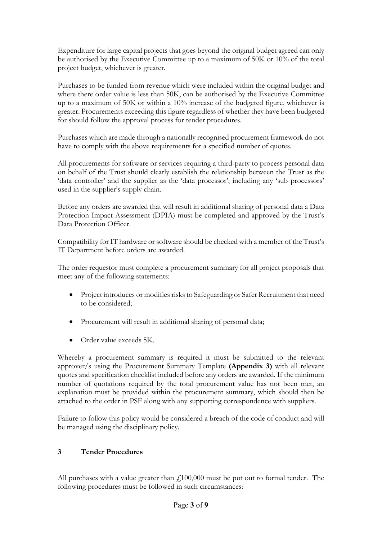Expenditure for large capital projects that goes beyond the original budget agreed can only be authorised by the Executive Committee up to a maximum of 50K or 10% of the total project budget, whichever is greater.

Purchases to be funded from revenue which were included within the original budget and where there order value is less than 50K, can be authorised by the Executive Committee up to a maximum of 50K or within a 10% increase of the budgeted figure, whichever is greater. Procurements exceeding this figure regardless of whether they have been budgeted for should follow the approval process for tender procedures.

Purchases which are made through a nationally recognised procurement framework do not have to comply with the above requirements for a specified number of quotes.

All procurements for software or services requiring a third-party to process personal data on behalf of the Trust should clearly establish the relationship between the Trust as the 'data controller' and the supplier as the 'data processor', including any 'sub processors' used in the supplier's supply chain.

Before any orders are awarded that will result in additional sharing of personal data a Data Protection Impact Assessment (DPIA) must be completed and approved by the Trust's Data Protection Officer

Compatibility for IT hardware or software should be checked with a member of the Trust's IT Department before orders are awarded.

The order requestor must complete a procurement summary for all project proposals that meet any of the following statements:

- Project introduces or modifies risks to Safeguarding or Safer Recruitment that need to be considered;
- Procurement will result in additional sharing of personal data;
- Order value exceeds 5K.

Whereby a procurement summary is required it must be submitted to the relevant approver/s using the Procurement Summary Template **(Appendix 3)** with all relevant quotes and specification checklist included before any orders are awarded. If the minimum number of quotations required by the total procurement value has not been met, an explanation must be provided within the procurement summary, which should then be attached to the order in PSF along with any supporting correspondence with suppliers.

Failure to follow this policy would be considered a breach of the code of conduct and will be managed using the disciplinary policy.

#### **3 Tender Procedures**

All purchases with a value greater than  $f<sub>100,000</sub>$  must be put out to formal tender. The following procedures must be followed in such circumstances: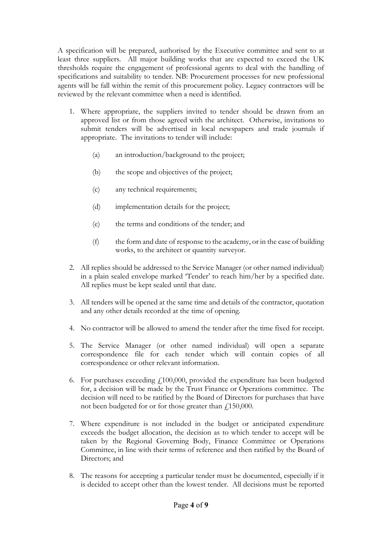A specification will be prepared, authorised by the Executive committee and sent to at least three suppliers. All major building works that are expected to exceed the UK thresholds require the engagement of professional agents to deal with the handling of specifications and suitability to tender. NB: Procurement processes for new professional agents will be fall within the remit of this procurement policy. Legacy contractors will be reviewed by the relevant committee when a need is identified.

- 1. Where appropriate, the suppliers invited to tender should be drawn from an approved list or from those agreed with the architect. Otherwise, invitations to submit tenders will be advertised in local newspapers and trade journals if appropriate. The invitations to tender will include:
	- (a) an introduction/background to the project;
	- (b) the scope and objectives of the project;
	- (c) any technical requirements;
	- (d) implementation details for the project;
	- (e) the terms and conditions of the tender; and
	- (f) the form and date of response to the academy, or in the case of building works, to the architect or quantity surveyor.
- 2. All replies should be addressed to the Service Manager (or other named individual) in a plain sealed envelope marked 'Tender' to reach him/her by a specified date. All replies must be kept sealed until that date.
- 3. All tenders will be opened at the same time and details of the contractor, quotation and any other details recorded at the time of opening.
- 4. No contractor will be allowed to amend the tender after the time fixed for receipt.
- 5. The Service Manager (or other named individual) will open a separate correspondence file for each tender which will contain copies of all correspondence or other relevant information.
- 6. For purchases exceeding  $f<sub>100,000</sub>$ , provided the expenditure has been budgeted for, a decision will be made by the Trust Finance or Operations committee. The decision will need to be ratified by the Board of Directors for purchases that have not been budgeted for or for those greater than  $f$ , 150,000.
- 7. Where expenditure is not included in the budget or anticipated expenditure exceeds the budget allocation, the decision as to which tender to accept will be taken by the Regional Governing Body, Finance Committee or Operations Committee, in line with their terms of reference and then ratified by the Board of Directors; and
- 8. The reasons for accepting a particular tender must be documented, especially if it is decided to accept other than the lowest tender. All decisions must be reported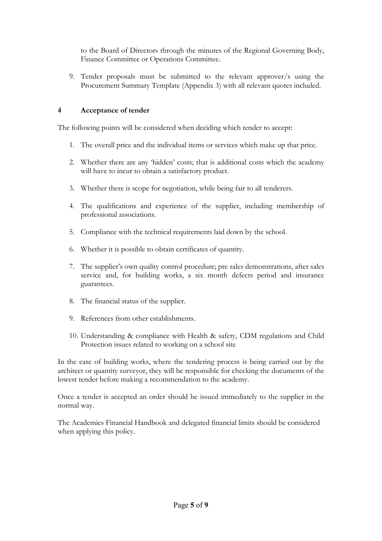to the Board of Directors through the minutes of the Regional Governing Body, Finance Committee or Operations Committee.

9. Tender proposals must be submitted to the relevant approver/s using the Procurement Summary Template (Appendix 3) with all relevant quotes included.

#### **4 Acceptance of tender**

The following points will be considered when deciding which tender to accept:

- 1. The overall price and the individual items or services which make up that price.
- 2. Whether there are any 'hidden' costs; that is additional costs which the academy will have to incur to obtain a satisfactory product.
- 3. Whether there is scope for negotiation, while being fair to all tenderers.
- 4. The qualifications and experience of the supplier, including membership of professional associations.
- 5. Compliance with the technical requirements laid down by the school.
- 6. Whether it is possible to obtain certificates of quantity.
- 7. The supplier's own quality control procedure; pre sales demonstrations, after sales service and, for building works, a six month defects period and insurance guarantees.
- 8. The financial status of the supplier.
- 9. References from other establishments.
- 10. Understanding & compliance with Health & safety, CDM regulations and Child Protection issues related to working on a school site

In the case of building works, where the tendering process is being carried out by the architect or quantity surveyor, they will be responsible for checking the documents of the lowest tender before making a recommendation to the academy.

Once a tender is accepted an order should be issued immediately to the supplier in the normal way.

The Academies Financial Handbook and delegated financial limits should be considered when applying this policy.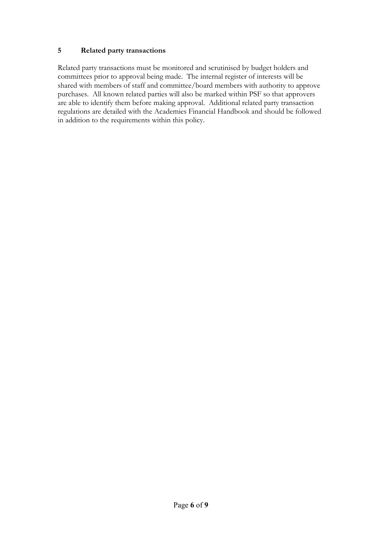#### **5 Related party transactions**

Related party transactions must be monitored and scrutinised by budget holders and committees prior to approval being made. The internal register of interests will be shared with members of staff and committee/board members with authority to approve purchases. All known related parties will also be marked within PSF so that approvers are able to identify them before making approval. Additional related party transaction regulations are detailed with the Academies Financial Handbook and should be followed in addition to the requirements within this policy.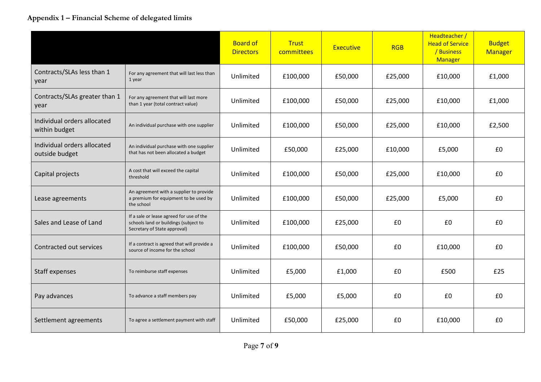#### **Appendix 1 – Financial Scheme of delegated limits**

|                                               |                                                                                                                   | <b>Board of</b><br><b>Directors</b> | <b>Trust</b><br>committees | <b>Executive</b> | <b>RGB</b> | Headteacher /<br><b>Head of Service</b><br>/ Business<br>Manager | <b>Budget</b><br>Manager |
|-----------------------------------------------|-------------------------------------------------------------------------------------------------------------------|-------------------------------------|----------------------------|------------------|------------|------------------------------------------------------------------|--------------------------|
| Contracts/SLAs less than 1<br>year            | For any agreement that will last less than<br>1 year                                                              | Unlimited                           | £100,000                   | £50,000          | £25,000    | £10,000                                                          | £1,000                   |
| Contracts/SLAs greater than 1<br>year         | For any agreement that will last more<br>than 1 year (total contract value)                                       | Unlimited                           | £100,000                   | £50,000          | £25,000    | £10,000                                                          | £1,000                   |
| Individual orders allocated<br>within budget  | An individual purchase with one supplier                                                                          | Unlimited<br>£100,000               |                            | £50,000          | £25,000    | £10,000                                                          | £2,500                   |
| Individual orders allocated<br>outside budget | An individual purchase with one supplier<br>that has not been allocated a budget                                  | Unlimited                           | £50,000                    | £25,000          | £10,000    | £5,000                                                           | £0                       |
| Capital projects                              | A cost that will exceed the capital<br>threshold                                                                  | Unlimited                           | £100,000                   | £50,000          | £25,000    | £10,000                                                          | £0                       |
| Lease agreements                              | An agreement with a supplier to provide<br>a premium for equipment to be used by<br>the school                    | Unlimited                           | £100,000                   | £50,000          | £25,000    | £5,000                                                           | £0                       |
| Sales and Lease of Land                       | If a sale or lease agreed for use of the<br>schools land or buildings (subject to<br>Secretary of State approval) | Unlimited                           | £100,000                   | £25,000          | £0         | £0                                                               | £0                       |
| Contracted out services                       | If a contract is agreed that will provide a<br>source of income for the school                                    | Unlimited                           | £100,000                   | £50,000          | £0         | £10,000                                                          | £0                       |
| Staff expenses                                | To reimburse staff expenses                                                                                       | Unlimited                           | £5,000                     | £1,000           | £0         | £500                                                             | £25                      |
| Pay advances                                  | To advance a staff members pay                                                                                    | Unlimited                           | £5,000                     | £5,000           | £0         | £0                                                               | £0                       |
| Settlement agreements                         | To agree a settlement payment with staff                                                                          | Unlimited                           | £50,000                    | £25,000          | £0         | £10,000                                                          | £0                       |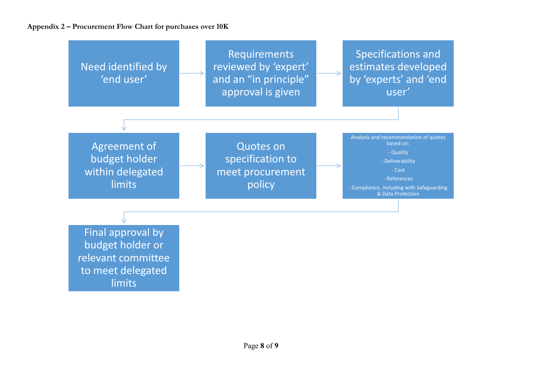